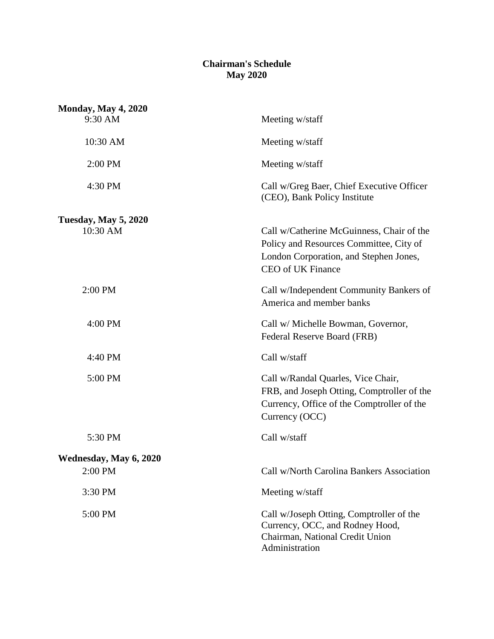## **Chairman's Schedule May 2020**

| <b>Monday, May 4, 2020</b>              |                                                                                                                                                     |
|-----------------------------------------|-----------------------------------------------------------------------------------------------------------------------------------------------------|
| 9:30 AM                                 | Meeting w/staff                                                                                                                                     |
| 10:30 AM                                | Meeting w/staff                                                                                                                                     |
| 2:00 PM                                 | Meeting w/staff                                                                                                                                     |
| 4:30 PM                                 | Call w/Greg Baer, Chief Executive Officer<br>(CEO), Bank Policy Institute                                                                           |
| <b>Tuesday, May 5, 2020</b><br>10:30 AM | Call w/Catherine McGuinness, Chair of the<br>Policy and Resources Committee, City of<br>London Corporation, and Stephen Jones,<br>CEO of UK Finance |
| 2:00 PM                                 | Call w/Independent Community Bankers of<br>America and member banks                                                                                 |
| 4:00 PM                                 | Call w/ Michelle Bowman, Governor,<br>Federal Reserve Board (FRB)                                                                                   |
| 4:40 PM                                 | Call w/staff                                                                                                                                        |
| 5:00 PM                                 | Call w/Randal Quarles, Vice Chair,<br>FRB, and Joseph Otting, Comptroller of the<br>Currency, Office of the Comptroller of the<br>Currency (OCC)    |
| 5:30 PM                                 | Call w/staff                                                                                                                                        |
| Wednesday, May 6, 2020                  |                                                                                                                                                     |
| 2:00 PM                                 | Call w/North Carolina Bankers Association                                                                                                           |
| 3:30 PM                                 | Meeting w/staff                                                                                                                                     |
| 5:00 PM                                 | Call w/Joseph Otting, Comptroller of the<br>Currency, OCC, and Rodney Hood,<br>Chairman, National Credit Union<br>Administration                    |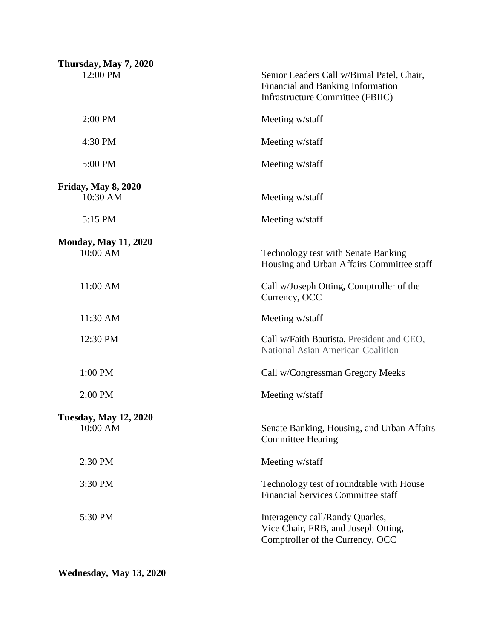| Thursday, May 7, 2020<br>12:00 PM        | Senior Leaders Call w/Bimal Patel, Chair,<br>Financial and Banking Information<br>Infrastructure Committee (FBIIC) |
|------------------------------------------|--------------------------------------------------------------------------------------------------------------------|
| 2:00 PM                                  | Meeting w/staff                                                                                                    |
| 4:30 PM                                  | Meeting w/staff                                                                                                    |
| 5:00 PM                                  | Meeting w/staff                                                                                                    |
| <b>Friday, May 8, 2020</b><br>10:30 AM   | Meeting w/staff                                                                                                    |
| 5:15 PM                                  | Meeting w/staff                                                                                                    |
| <b>Monday, May 11, 2020</b><br>10:00 AM  | <b>Technology test with Senate Banking</b><br>Housing and Urban Affairs Committee staff                            |
| 11:00 AM                                 | Call w/Joseph Otting, Comptroller of the<br>Currency, OCC                                                          |
| 11:30 AM                                 | Meeting w/staff                                                                                                    |
| 12:30 PM                                 | Call w/Faith Bautista, President and CEO,<br>National Asian American Coalition                                     |
| 1:00 PM                                  | Call w/Congressman Gregory Meeks                                                                                   |
| 2:00 PM                                  | Meeting w/staff                                                                                                    |
| <b>Tuesday, May 12, 2020</b><br>10:00 AM | Senate Banking, Housing, and Urban Affairs<br><b>Committee Hearing</b>                                             |
| 2:30 PM                                  | Meeting w/staff                                                                                                    |
| 3:30 PM                                  | Technology test of roundtable with House<br><b>Financial Services Committee staff</b>                              |
| 5:30 PM                                  | Interagency call/Randy Quarles,<br>Vice Chair, FRB, and Joseph Otting,<br>Comptroller of the Currency, OCC         |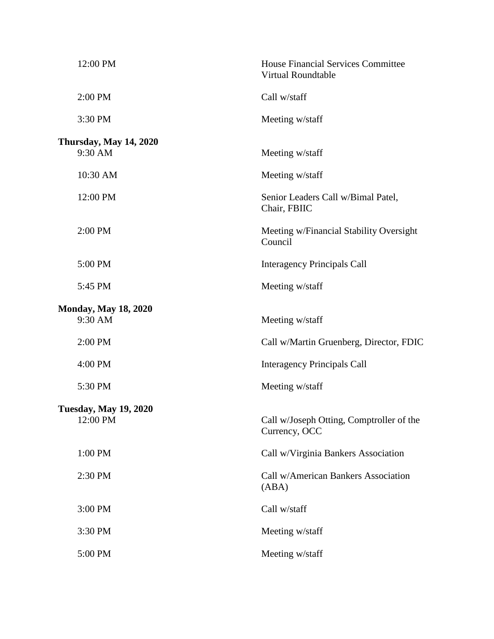|                               | 12:00 PM                    | <b>House Financial Services Committee</b><br><b>Virtual Roundtable</b> |  |
|-------------------------------|-----------------------------|------------------------------------------------------------------------|--|
|                               | 2:00 PM                     | Call w/staff                                                           |  |
|                               | 3:30 PM                     | Meeting w/staff                                                        |  |
| <b>Thursday, May 14, 2020</b> |                             |                                                                        |  |
|                               | 9:30 AM                     | Meeting w/staff                                                        |  |
|                               | 10:30 AM                    | Meeting w/staff                                                        |  |
|                               | 12:00 PM                    | Senior Leaders Call w/Bimal Patel,<br>Chair, FBIIC                     |  |
|                               | 2:00 PM                     | Meeting w/Financial Stability Oversight<br>Council                     |  |
|                               | 5:00 PM                     | <b>Interagency Principals Call</b>                                     |  |
|                               | 5:45 PM                     | Meeting w/staff                                                        |  |
|                               | <b>Monday, May 18, 2020</b> |                                                                        |  |
|                               | 9:30 AM                     | Meeting w/staff                                                        |  |
|                               | 2:00 PM                     | Call w/Martin Gruenberg, Director, FDIC                                |  |
|                               | 4:00 PM                     | <b>Interagency Principals Call</b>                                     |  |
|                               | 5:30 PM                     | Meeting w/staff                                                        |  |
| <b>Tuesday, May 19, 2020</b>  |                             |                                                                        |  |
|                               | 12:00 PM                    | Call w/Joseph Otting, Comptroller of the<br>Currency, OCC              |  |
|                               | 1:00 PM                     | Call w/Virginia Bankers Association                                    |  |
|                               | 2:30 PM                     | Call w/American Bankers Association<br>(ABA)                           |  |
|                               | 3:00 PM                     | Call w/staff                                                           |  |
|                               | 3:30 PM                     | Meeting w/staff                                                        |  |
|                               | 5:00 PM                     | Meeting w/staff                                                        |  |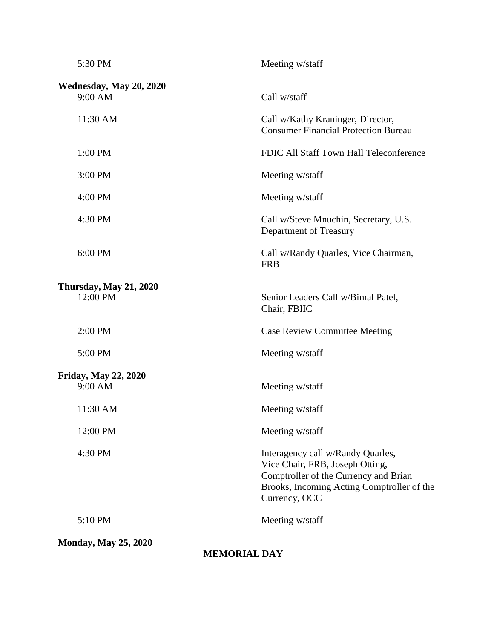| 5:30 PM                                            | Meeting w/staff                                                                                                                                                              |  |
|----------------------------------------------------|------------------------------------------------------------------------------------------------------------------------------------------------------------------------------|--|
| Wednesday, May 20, 2020<br>9:00 AM                 | Call w/staff                                                                                                                                                                 |  |
| 11:30 AM                                           | Call w/Kathy Kraninger, Director,<br><b>Consumer Financial Protection Bureau</b>                                                                                             |  |
| 1:00 PM                                            | FDIC All Staff Town Hall Teleconference                                                                                                                                      |  |
| 3:00 PM                                            | Meeting w/staff                                                                                                                                                              |  |
| 4:00 PM                                            | Meeting w/staff                                                                                                                                                              |  |
| 4:30 PM                                            | Call w/Steve Mnuchin, Secretary, U.S.<br>Department of Treasury                                                                                                              |  |
| 6:00 PM                                            | Call w/Randy Quarles, Vice Chairman,<br><b>FRB</b>                                                                                                                           |  |
| <b>Thursday, May 21, 2020</b><br>12:00 PM          | Senior Leaders Call w/Bimal Patel,<br>Chair, FBIIC                                                                                                                           |  |
| 2:00 PM                                            | <b>Case Review Committee Meeting</b>                                                                                                                                         |  |
| 5:00 PM                                            | Meeting w/staff                                                                                                                                                              |  |
| Friday, May 22, 2020<br>9:00 AM                    | Meeting w/staff                                                                                                                                                              |  |
| 11:30 AM                                           | Meeting w/staff                                                                                                                                                              |  |
| 12:00 PM                                           | Meeting w/staff                                                                                                                                                              |  |
| 4:30 PM                                            | Interagency call w/Randy Quarles,<br>Vice Chair, FRB, Joseph Otting,<br>Comptroller of the Currency and Brian<br>Brooks, Incoming Acting Comptroller of the<br>Currency, OCC |  |
| 5:10 PM                                            | Meeting w/staff                                                                                                                                                              |  |
| <b>Monday, May 25, 2020</b><br><b>MEMORIAL DAY</b> |                                                                                                                                                                              |  |